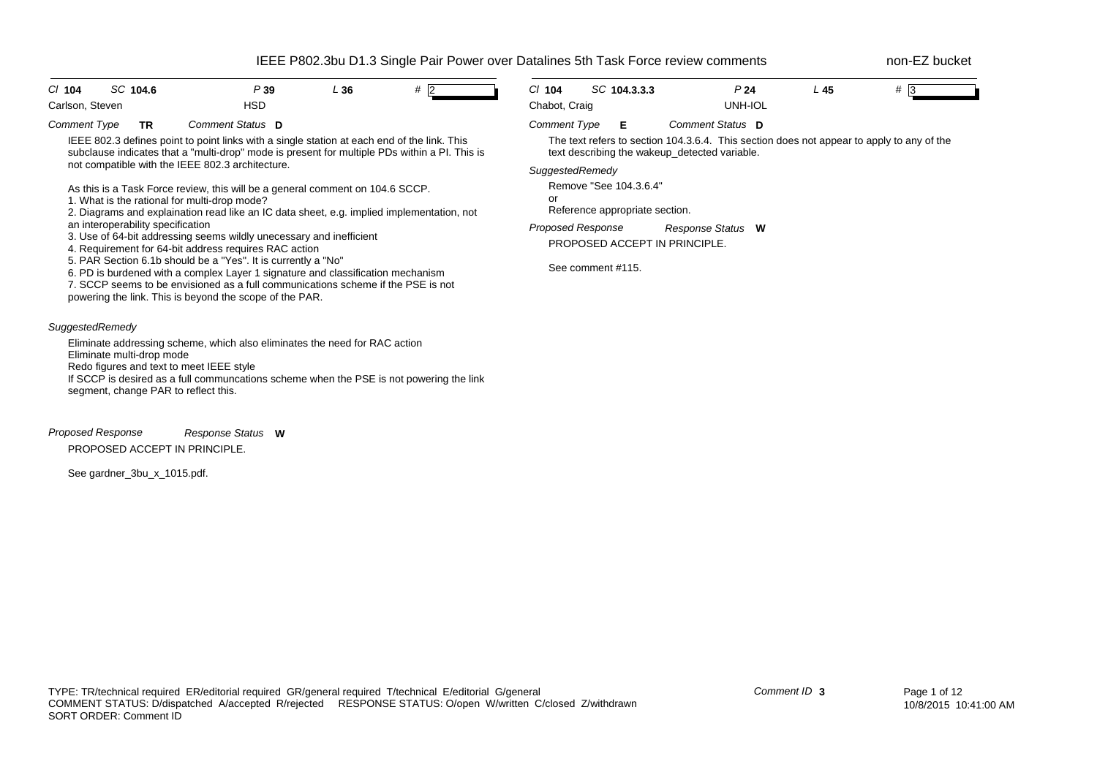| C/ 104<br>SC 104.6<br>P39<br><b>HSD</b><br>Carlson, Steven                                                                                                                                                                                                                                                                                                                                                                                                                                                                                                                                                                                                                                                                                                                                                                                                                                                                                                                                              | L36 | # 2 | $Cl$ 104<br>Chabot, Craig                                                | SC 104.3.3.3                                                                       | P <sub>24</sub><br>UNH-IOL                                                                                                                                                                                           | $L$ 45 | $#$ 3 |
|---------------------------------------------------------------------------------------------------------------------------------------------------------------------------------------------------------------------------------------------------------------------------------------------------------------------------------------------------------------------------------------------------------------------------------------------------------------------------------------------------------------------------------------------------------------------------------------------------------------------------------------------------------------------------------------------------------------------------------------------------------------------------------------------------------------------------------------------------------------------------------------------------------------------------------------------------------------------------------------------------------|-----|-----|--------------------------------------------------------------------------|------------------------------------------------------------------------------------|----------------------------------------------------------------------------------------------------------------------------------------------------------------------------------------------------------------------|--------|-------|
| Comment Type<br>Comment Status D<br><b>TR</b><br>IEEE 802.3 defines point to point links with a single station at each end of the link. This<br>subclause indicates that a "multi-drop" mode is present for multiple PDs within a PI. This is<br>not compatible with the IEEE 802.3 architecture.<br>As this is a Task Force review, this will be a general comment on 104.6 SCCP.<br>1. What is the rational for multi-drop mode?<br>2. Diagrams and explaination read like an IC data sheet, e.g. implied implementation, not<br>an interoperability specification<br>3. Use of 64-bit addressing seems wildly unecessary and inefficient<br>4. Requirement for 64-bit address requires RAC action<br>5. PAR Section 6.1b should be a "Yes". It is currently a "No"<br>6. PD is burdened with a complex Layer 1 signature and classification mechanism<br>7. SCCP seems to be envisioned as a full communications scheme if the PSE is not<br>powering the link. This is beyond the scope of the PAR. |     |     | <b>Comment Type</b><br>SuggestedRemedy<br>or<br><b>Proposed Response</b> | Е<br>Remove "See 104.3.6.4"<br>Reference appropriate section.<br>See comment #115. | Comment Status D<br>The text refers to section 104.3.6.4. This section does not appear to apply to any of the<br>text describing the wakeup_detected variable.<br>Response Status W<br>PROPOSED ACCEPT IN PRINCIPLE. |        |       |
| SuggestedRemedy<br>Eliminate addressing scheme, which also eliminates the need for RAC action<br>Eliminate multi-drop mode<br>Redo figures and text to meet IEEE style<br>If SCCP is desired as a full communcations scheme when the PSE is not powering the link<br>segment, change PAR to reflect this.                                                                                                                                                                                                                                                                                                                                                                                                                                                                                                                                                                                                                                                                                               |     |     |                                                                          |                                                                                    |                                                                                                                                                                                                                      |        |       |

*Proposed Response* PROPOSED ACCEPT IN PRINCIPLE. *Response Status* **W**

See gardner\_3bu\_x\_1015.pdf.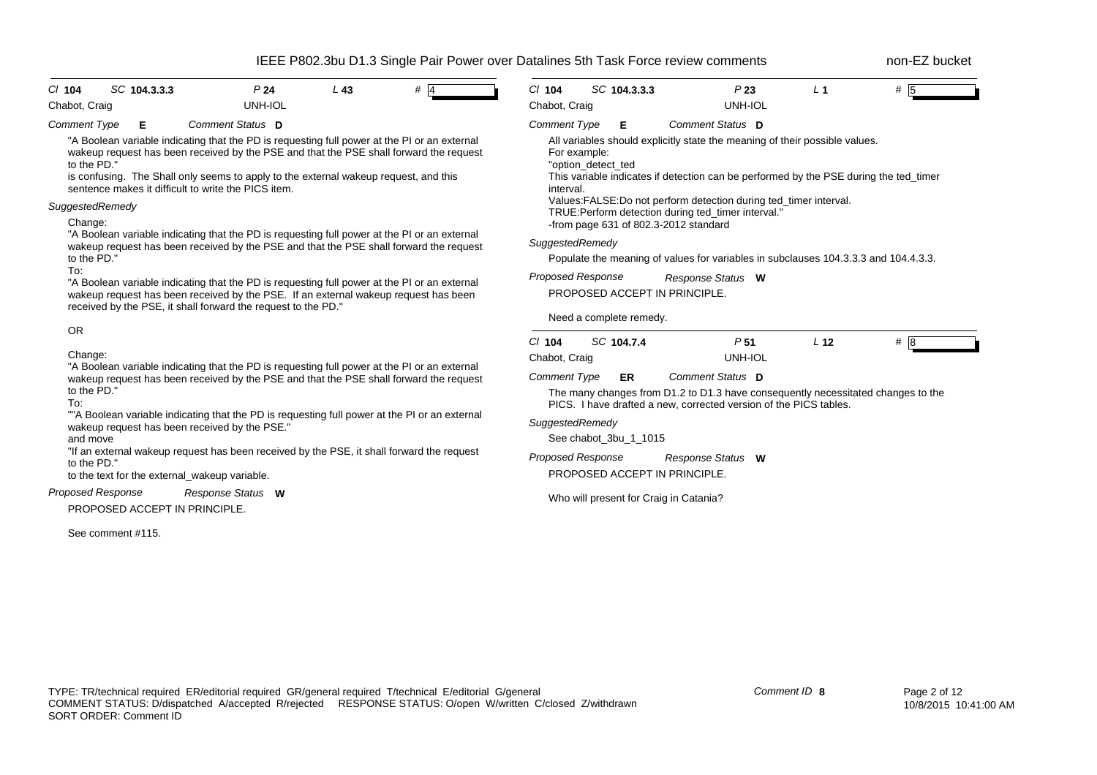| C/ 104                                                                                                       |  | SC 104.3.3.3  |                                                                                                                                                                                                        | P <sub>24</sub> | $L$ 43 | #4                                                                                                                                                                                                                                                                             | $Cl$ 104                                                                       |    | SC 104.3.3.3                           |  | P23                                                                                                                                             | L <sub>1</sub>  | # 5                                                                                   |
|--------------------------------------------------------------------------------------------------------------|--|---------------|--------------------------------------------------------------------------------------------------------------------------------------------------------------------------------------------------------|-----------------|--------|--------------------------------------------------------------------------------------------------------------------------------------------------------------------------------------------------------------------------------------------------------------------------------|--------------------------------------------------------------------------------|----|----------------------------------------|--|-------------------------------------------------------------------------------------------------------------------------------------------------|-----------------|---------------------------------------------------------------------------------------|
| Chabot, Craig                                                                                                |  |               |                                                                                                                                                                                                        | UNH-IOL         |        |                                                                                                                                                                                                                                                                                | Chabot, Craig                                                                  |    |                                        |  | <b>UNH-IOL</b>                                                                                                                                  |                 |                                                                                       |
| <b>Comment Type</b>                                                                                          |  | Е             | Comment Status D                                                                                                                                                                                       |                 |        |                                                                                                                                                                                                                                                                                | <b>Comment Type</b>                                                            |    | Е                                      |  | Comment Status D                                                                                                                                |                 |                                                                                       |
| to the PD."                                                                                                  |  |               | sentence makes it difficult to write the PICS item.                                                                                                                                                    |                 |        | "A Boolean variable indicating that the PD is requesting full power at the PI or an external<br>wakeup request has been received by the PSE and that the PSE shall forward the request<br>is confusing. The Shall only seems to apply to the external wakeup request, and this | For example:<br>"option detect ted<br>interval.                                |    |                                        |  | All variables should explicitly state the meaning of their possible values.<br>Values:FALSE:Do not perform detection during ted_timer interval. |                 | This variable indicates if detection can be performed by the PSE during the ted timer |
| SuggestedRemedy                                                                                              |  |               |                                                                                                                                                                                                        |                 |        |                                                                                                                                                                                                                                                                                |                                                                                |    |                                        |  | TRUE: Perform detection during ted_timer interval."                                                                                             |                 |                                                                                       |
| Change:                                                                                                      |  |               |                                                                                                                                                                                                        |                 |        |                                                                                                                                                                                                                                                                                |                                                                                |    | -from page 631 of 802.3-2012 standard  |  |                                                                                                                                                 |                 |                                                                                       |
| to the PD."                                                                                                  |  |               |                                                                                                                                                                                                        |                 |        | "A Boolean variable indicating that the PD is requesting full power at the PI or an external<br>wakeup request has been received by the PSE and that the PSE shall forward the request                                                                                         | SuggestedRemedy                                                                |    |                                        |  |                                                                                                                                                 |                 | Populate the meaning of values for variables in subclauses 104.3.3.3 and 104.4.3.3.   |
| To:                                                                                                          |  |               |                                                                                                                                                                                                        |                 |        |                                                                                                                                                                                                                                                                                | <b>Proposed Response</b>                                                       |    |                                        |  | Response Status W                                                                                                                               |                 |                                                                                       |
|                                                                                                              |  |               | received by the PSE, it shall forward the request to the PD."                                                                                                                                          |                 |        | "A Boolean variable indicating that the PD is requesting full power at the PI or an external<br>wakeup request has been received by the PSE. If an external wakeup request has been                                                                                            |                                                                                |    | PROPOSED ACCEPT IN PRINCIPLE.          |  |                                                                                                                                                 |                 |                                                                                       |
|                                                                                                              |  |               |                                                                                                                                                                                                        |                 |        |                                                                                                                                                                                                                                                                                |                                                                                |    | Need a complete remedy.                |  |                                                                                                                                                 |                 |                                                                                       |
| <b>OR</b>                                                                                                    |  |               |                                                                                                                                                                                                        |                 |        |                                                                                                                                                                                                                                                                                | C/ 104                                                                         |    | SC 104.7.4                             |  | P <sub>51</sub>                                                                                                                                 | L <sub>12</sub> |                                                                                       |
| Change:<br>"A Boolean variable indicating that the PD is requesting full power at the PI or an external      |  | Chabot, Craig |                                                                                                                                                                                                        |                 |        | UNH-IOL                                                                                                                                                                                                                                                                        |                                                                                | #8 |                                        |  |                                                                                                                                                 |                 |                                                                                       |
| wakeup request has been received by the PSE and that the PSE shall forward the request<br>to the PD."<br>To: |  |               | Comment Status D<br><b>Comment Type</b><br>ER<br>The many changes from D1.2 to D1.3 have consequently necessitated changes to the<br>PICS. I have drafted a new, corrected version of the PICS tables. |                 |        |                                                                                                                                                                                                                                                                                |                                                                                |    |                                        |  |                                                                                                                                                 |                 |                                                                                       |
| and move                                                                                                     |  |               | wakeup request has been received by the PSE."                                                                                                                                                          |                 |        | ""A Boolean variable indicating that the PD is requesting full power at the PI or an external                                                                                                                                                                                  | SuggestedRemedy                                                                |    | See chabot 3bu 1 1015                  |  |                                                                                                                                                 |                 |                                                                                       |
|                                                                                                              |  |               |                                                                                                                                                                                                        |                 |        | "If an external wakeup request has been received by the PSE, it shall forward the request                                                                                                                                                                                      |                                                                                |    |                                        |  |                                                                                                                                                 |                 |                                                                                       |
| to the PD.'                                                                                                  |  |               | to the text for the external_wakeup variable.                                                                                                                                                          |                 |        |                                                                                                                                                                                                                                                                                | <b>Proposed Response</b><br>Response Status W<br>PROPOSED ACCEPT IN PRINCIPLE. |    |                                        |  |                                                                                                                                                 |                 |                                                                                       |
| Proposed Response                                                                                            |  |               | Response Status W<br>PROPOSED ACCEPT IN PRINCIPLE.                                                                                                                                                     |                 |        |                                                                                                                                                                                                                                                                                |                                                                                |    | Who will present for Craig in Catania? |  |                                                                                                                                                 |                 |                                                                                       |
| See comment #115.                                                                                            |  |               |                                                                                                                                                                                                        |                 |        |                                                                                                                                                                                                                                                                                |                                                                                |    |                                        |  |                                                                                                                                                 |                 |                                                                                       |
|                                                                                                              |  |               |                                                                                                                                                                                                        |                 |        |                                                                                                                                                                                                                                                                                |                                                                                |    |                                        |  |                                                                                                                                                 |                 |                                                                                       |
|                                                                                                              |  |               |                                                                                                                                                                                                        |                 |        |                                                                                                                                                                                                                                                                                |                                                                                |    |                                        |  |                                                                                                                                                 |                 |                                                                                       |
|                                                                                                              |  |               |                                                                                                                                                                                                        |                 |        |                                                                                                                                                                                                                                                                                |                                                                                |    |                                        |  |                                                                                                                                                 |                 |                                                                                       |
|                                                                                                              |  |               |                                                                                                                                                                                                        |                 |        |                                                                                                                                                                                                                                                                                |                                                                                |    |                                        |  |                                                                                                                                                 |                 |                                                                                       |
|                                                                                                              |  |               |                                                                                                                                                                                                        |                 |        |                                                                                                                                                                                                                                                                                |                                                                                |    |                                        |  |                                                                                                                                                 |                 |                                                                                       |
|                                                                                                              |  |               |                                                                                                                                                                                                        |                 |        |                                                                                                                                                                                                                                                                                |                                                                                |    |                                        |  |                                                                                                                                                 |                 |                                                                                       |
|                                                                                                              |  |               |                                                                                                                                                                                                        |                 |        |                                                                                                                                                                                                                                                                                |                                                                                |    |                                        |  |                                                                                                                                                 |                 |                                                                                       |
|                                                                                                              |  |               |                                                                                                                                                                                                        |                 |        |                                                                                                                                                                                                                                                                                |                                                                                |    |                                        |  |                                                                                                                                                 |                 |                                                                                       |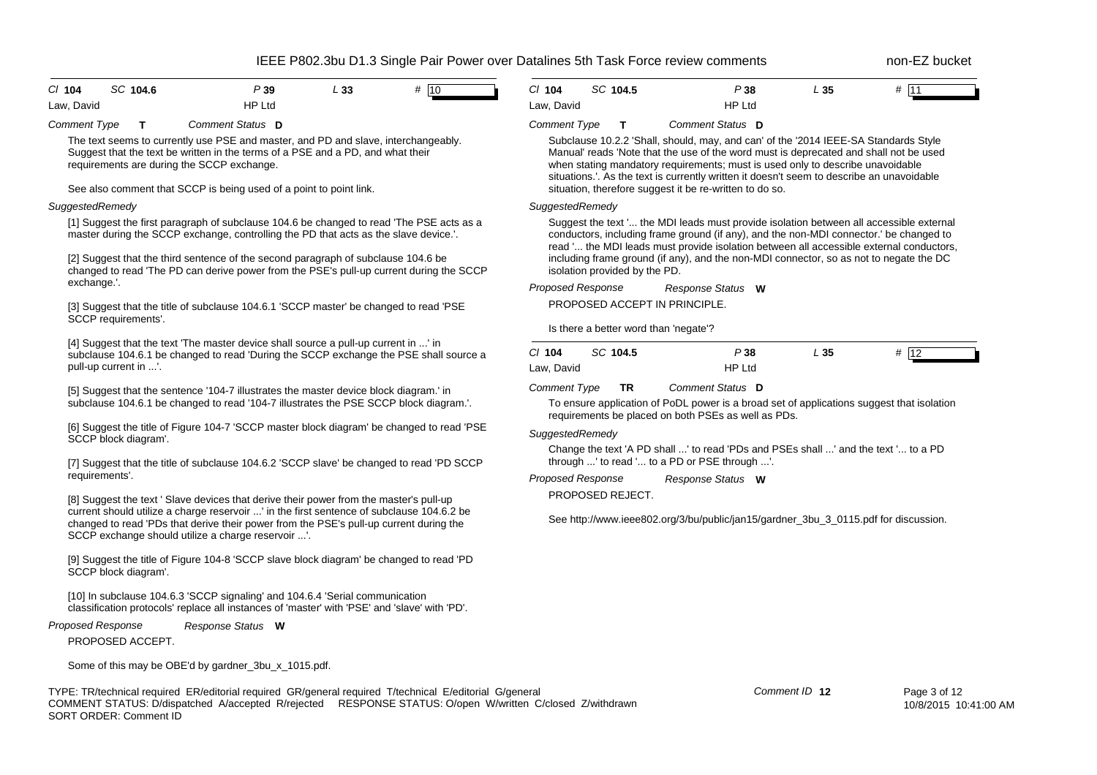| $CI$ 104   | SC 104.6 | P 39   | L 33 | # 10 |
|------------|----------|--------|------|------|
| Law, David |          | HP Ltd |      |      |

*Comment Type* **T** *Comment Status* **D**

The text seems to currently use PSE and master, and PD and slave, interchangeably. Suggest that the text be written in the terms of a PSE and a PD, and what their requirements are during the SCCP exchange.

See also comment that SCCP is being used of a point to point link.

### *SuggestedRemedy*

[1] Suggest the first paragraph of subclause 104.6 be changed to read 'The PSE acts as a master during the SCCP exchange, controlling the PD that acts as the slave device.'.

[2] Suggest that the third sentence of the second paragraph of subclause 104.6 be changed to read 'The PD can derive power from the PSE's pull-up current during the SCCP exchange.'.

[3] Suggest that the title of subclause 104.6.1 'SCCP master' be changed to read 'PSE SCCP requirements'.

[4] Suggest that the text 'The master device shall source a pull-up current in ...' in subclause 104.6.1 be changed to read 'During the SCCP exchange the PSE shall source a pull-up current in ...'.

[5] Suggest that the sentence '104-7 illustrates the master device block diagram.' in subclause 104.6.1 be changed to read '104-7 illustrates the PSE SCCP block diagram.'.

[6] Suggest the title of Figure 104-7 'SCCP master block diagram' be changed to read 'PSE SCCP block diagram'.

[7] Suggest that the title of subclause 104.6.2 'SCCP slave' be changed to read 'PD SCCP requirements'.

[8] Suggest the text ' Slave devices that derive their power from the master's pull-up current should utilize a charge reservoir ...' in the first sentence of subclause 104.6.2 be changed to read 'PDs that derive their power from the PSE's pull-up current during the SCCP exchange should utilize a charge reservoir ...'.

[9] Suggest the title of Figure 104-8 'SCCP slave block diagram' be changed to read 'PD SCCP block diagram'.

[10] In subclause 104.6.3 'SCCP signaling' and 104.6.4 'Serial communication classification protocols' replace all instances of 'master' with 'PSE' and 'slave' with 'PD'.

#### *Proposed Response Response Status* **W**

PROPOSED ACCEPT.

Some of this may be OBE'd by gardner\_3bu\_x\_1015.pdf.

TYPE: TR/technical required ER/editorial required GR/general required T/technical E/editorial G/general COMMENT STATUS: D/dispatched A/accepted R/rejected RESPONSE STATUS: O/open W/written C/closed Z/withdrawn SORT ORDER: Comment ID

| CI 104     | SC 104.5 | P 38   | L 35 | #<br>l11 |  |
|------------|----------|--------|------|----------|--|
| Law, David |          | HP Ltd |      |          |  |

#### *Comment Type* **T** *Comment Status* **D**

Subclause 10.2.2 'Shall, should, may, and can' of the '2014 IEEE-SA Standards Style Manual' reads 'Note that the use of the word must is deprecated and shall not be used when stating mandatory requirements; must is used only to describe unavoidable situations.'. As the text is currently written it doesn't seem to describe an unavoidable situation, therefore suggest it be re-written to do so.

### *SuggestedRemedy*

Suggest the text '... the MDI leads must provide isolation between all accessible external conductors, including frame ground (if any), and the non-MDI connector.' be changed to read '... the MDI leads must provide isolation between all accessible external conductors, including frame ground (if any), and the non-MDI connector, so as not to negate the DC isolation provided by the PD.

#### *Proposed Response* PROPOSED ACCEPT IN PRINCIPLE. *Response Status* **W**

Is there a better word than 'negate'?

| CI 104     | SC 104.5 | P 38   | L 35 | π | $\sim$ |
|------------|----------|--------|------|---|--------|
| Law, David |          | HP Ltd |      |   |        |

*Comment Type* **TR** *Comment Status* **D**

To ensure application of PoDL power is a broad set of applications suggest that isolation requirements be placed on both PSEs as well as PDs.

### *SuggestedRemedy*

Change the text 'A PD shall ...' to read 'PDs and PSEs shall ...' and the text '... to a PD through ...' to read '... to a PD or PSE through ...'.

*Proposed Response Response Status* **W**

PROPOSED REJECT.

See http://www.ieee802.org/3/bu/public/jan15/gardner\_3bu\_3\_0115.pdf for discussion.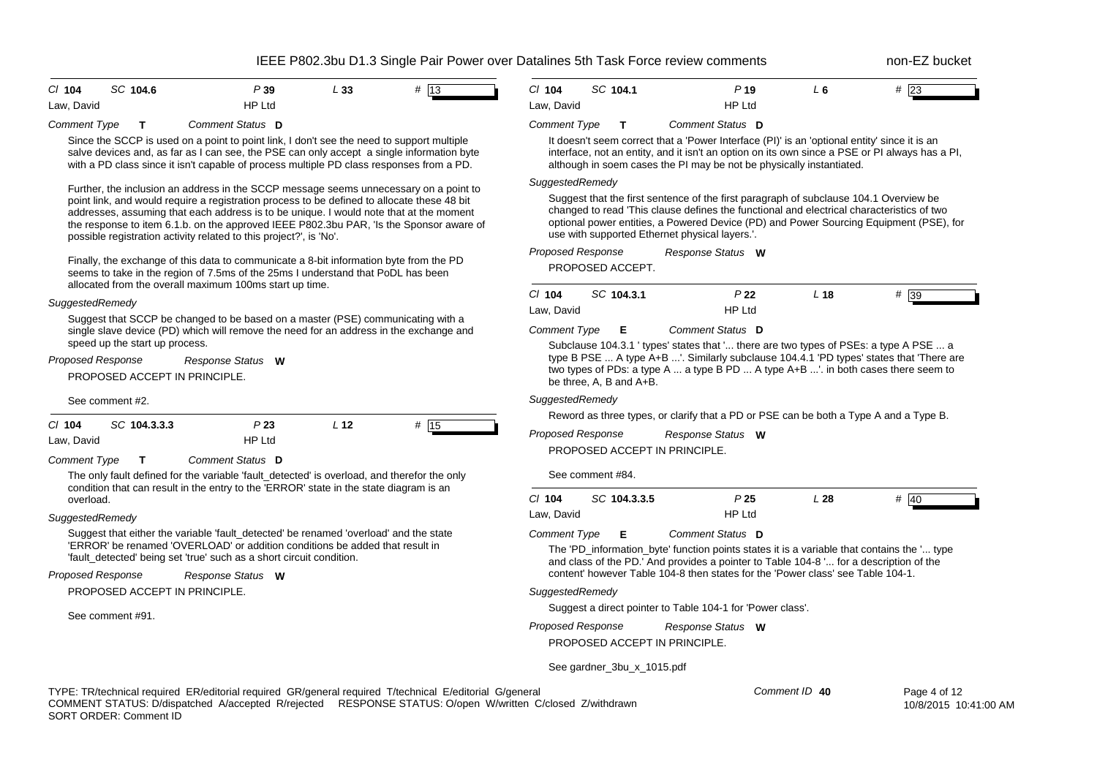| $CI$ 104   | SC 104.6 | P39           | L 33 | # 13 |  |
|------------|----------|---------------|------|------|--|
| Law, David |          | <b>HP Ltd</b> |      |      |  |

*Comment Type* **T** *Comment Status* **D**

Since the SCCP is used on a point to point link, I don't see the need to support multiple salve devices and, as far as I can see, the PSE can only accept a single information byte with a PD class since it isn't capable of process multiple PD class responses from a PD.

Further, the inclusion an address in the SCCP message seems unnecessary on a point to point link, and would require a registration process to be defined to allocate these 48 bit addresses, assuming that each address is to be unique. I would note that at the moment the response to item 6.1.b. on the approved IEEE P802.3bu PAR, 'Is the Sponsor aware of possible registration activity related to this project?', is 'No'.

Finally, the exchange of this data to communicate a 8-bit information byte from the PD seems to take in the region of 7.5ms of the 25ms I understand that PoDL has been allocated from the overall maximum 100ms start up time.

#### *SuggestedRemedy*

Suggest that SCCP be changed to be based on a master (PSE) communicating with a single slave device (PD) which will remove the need for an address in the exchange and speed up the start up process.

| Proposed Response             | <b>Response Status</b> | w |
|-------------------------------|------------------------|---|
| PROPOSED ACCEPT IN PRINCIPLE. |                        |   |

See comment #2.

| C/104      | SC 104.3.3.3 | P 23          | L 12 | #<br><sup>15</sup> |
|------------|--------------|---------------|------|--------------------|
| Law, David |              | <b>HP Ltd</b> |      |                    |

*Comment Type* **T** *Comment Status* **D**

The only fault defined for the variable 'fault detected' is overload, and therefor the only condition that can result in the entry to the 'ERROR' state in the state diagram is an overload.

### *SuggestedRemedy*

Suggest that either the variable 'fault\_detected' be renamed 'overload' and the state 'ERROR' be renamed 'OVERLOAD' or addition conditions be added that result in 'fault detected' being set 'true' such as a short circuit condition.

*Proposed Response Response Status* **W**

PROPOSED ACCEPT IN PRINCIPLE.

See comment #91.

| $Cl$ 104   | SC 104.1 | P 19          | L 6 | #23 |
|------------|----------|---------------|-----|-----|
| Law, David |          | <b>HP Ltd</b> |     |     |

#### *Comment Type* **T** *Comment Status* **D**

It doesn't seem correct that a 'Power Interface (PI)' is an 'optional entity' since it is an interface, not an entity, and it isn't an option on its own since a PSE or PI always has a PI, although in soem cases the PI may be not be physically instantiated.

### *SuggestedRemedy*

Suggest that the first sentence of the first paragraph of subclause 104.1 Overview be changed to read 'This clause defines the functional and electrical characteristics of two optional power entities, a Powered Device (PD) and Power Sourcing Equipment (PSE), for use with supported Ethernet physical layers.'.

| Proposed Response | Response Status W |  |
|-------------------|-------------------|--|
|                   |                   |  |

PROPOSED ACCEPT.

| C/104      | SC 104.3.1 | P 22          | L 18 | # 39 |
|------------|------------|---------------|------|------|
| Law, David |            | <b>HP Ltd</b> |      |      |

*Comment Type* **E** *Comment Status* **D**

Subclause 104.3.1 ' types' states that '... there are two types of PSEs: a type A PSE ... a type B PSE ... A type A+B ...'. Similarly subclause 104.4.1 'PD types' states that 'There are two types of PDs: a type A ... a type B PD ... A type A+B ...'. in both cases there seem to be three, A, B and A+B.

#### *SuggestedRemedy*

Reword as three types, or clarify that a PD or PSE can be both a Type A and a Type B.

| Proposed Response             | Response Status | <b>W</b> |
|-------------------------------|-----------------|----------|
| PROPOSED ACCEPT IN PRINCIPLE. |                 |          |

See comment #84.

| $Cl$ 104   | SC 104.3.3.5 | P 25   | L 28 | #<br>40 |
|------------|--------------|--------|------|---------|
| Law, David |              | HP Ltd |      |         |

#### *Comment Type* **E** *Comment Status* **D**

The 'PD information byte' function points states it is a variable that contains the '... type and class of the PD.' And provides a pointer to Table 104-8 '... for a description of the content' however Table 104-8 then states for the 'Power class' see Table 104-1.

### *SuggestedRemedy*

Suggest a direct pointer to Table 104-1 for 'Power class'.

*Proposed Response* PROPOSED ACCEPT IN PRINCIPLE. *Response Status* **W**

See gardner\_3bu\_x\_1015.pdf

*Comment ID* **40**

Page 4 of 12 10/8/2015 10:41:00 AM

TYPE: TR/technical required ER/editorial required GR/general required T/technical E/editorial G/general COMMENT STATUS: D/dispatched A/accepted R/rejected RESPONSE STATUS: O/open W/written C/closed Z/withdrawn SORT ORDER: Comment ID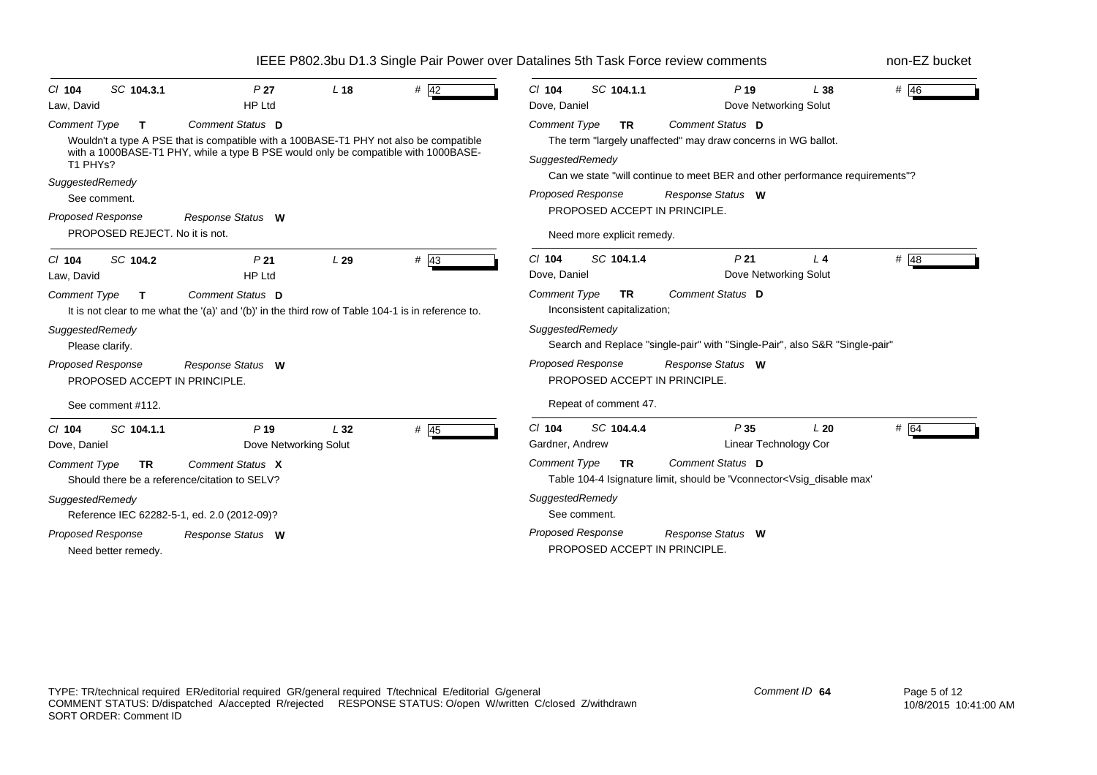| SC 104.3.1<br>$Cl$ 104<br>Law, David                                                          | P <sub>27</sub><br><b>HP Ltd</b>                                                                                                                                                                | L <sub>18</sub> | $#$ 42 | SC 104.1.1<br>$Cl$ 104<br>Dove, Daniel                                                  | $P$ 19<br>Dove Networking Solut                                                                                                        | L38   | # $\overline{46}$ |
|-----------------------------------------------------------------------------------------------|-------------------------------------------------------------------------------------------------------------------------------------------------------------------------------------------------|-----------------|--------|-----------------------------------------------------------------------------------------|----------------------------------------------------------------------------------------------------------------------------------------|-------|-------------------|
| <b>Comment Type</b><br>T.<br>T1 PHY <sub>s</sub> ?                                            | Comment Status D<br>Wouldn't a type A PSE that is compatible with a 100BASE-T1 PHY not also be compatible<br>with a 1000BASE-T1 PHY, while a type B PSE would only be compatible with 1000BASE- |                 |        | <b>Comment Type</b><br><b>TR</b><br>SuggestedRemedy                                     | Comment Status D<br>The term "largely unaffected" may draw concerns in WG ballot.                                                      |       |                   |
| SuggestedRemedy<br>See comment.<br><b>Proposed Response</b><br>PROPOSED REJECT. No it is not. | Response Status W                                                                                                                                                                               |                 |        | <b>Proposed Response</b><br>PROPOSED ACCEPT IN PRINCIPLE.<br>Need more explicit remedy. | Can we state "will continue to meet BER and other performance requirements"?<br>Response Status W                                      |       |                   |
| SC 104.2<br>$Cl$ 104<br>Law, David                                                            | P <sub>21</sub><br><b>HP Ltd</b>                                                                                                                                                                | L29             | $#$ 43 | $Cl$ 104<br>SC 104.1.4<br>Dove, Daniel                                                  | P <sub>21</sub><br>Dove Networking Solut                                                                                               | $L_4$ | # 48              |
| <b>Comment Type</b><br>$\mathbf{T}$<br>SuggestedRemedy<br>Please clarify.                     | Comment Status D<br>It is not clear to me what the '(a)' and '(b)' in the third row of Table 104-1 is in reference to.                                                                          |                 |        | Comment Type<br><b>TR</b><br>Inconsistent capitalization;<br>SuggestedRemedy            | <b>Comment Status D</b><br>Search and Replace "single-pair" with "Single-Pair", also S&R "Single-pair"                                 |       |                   |
| <b>Proposed Response</b><br>PROPOSED ACCEPT IN PRINCIPLE.<br>See comment #112.                | Response Status W                                                                                                                                                                               |                 |        | <b>Proposed Response</b><br>PROPOSED ACCEPT IN PRINCIPLE.<br>Repeat of comment 47.      | Response Status W                                                                                                                      |       |                   |
| SC 104.1.1<br>$Cl$ 104<br>Dove, Daniel                                                        | P <sub>19</sub><br>Dove Networking Solut                                                                                                                                                        | L32             | $#$ 45 | C/104<br>SC 104.4.4<br>Gardner, Andrew                                                  | P <sub>35</sub><br>Linear Technology Cor                                                                                               | L20   | # 64              |
| <b>Comment Type</b><br>TR.                                                                    | Comment Status X<br>Should there be a reference/citation to SELV?                                                                                                                               |                 |        | <b>Comment Type</b><br><b>TR</b>                                                        | Comment Status D<br>Table 104-4 Isignature limit, should be 'Vconnector <vsig_disable max'<="" td=""><td></td><td></td></vsig_disable> |       |                   |
| SuggestedRemedy                                                                               | Reference IEC 62282-5-1, ed. 2.0 (2012-09)?                                                                                                                                                     |                 |        | SuggestedRemedy<br>See comment.                                                         |                                                                                                                                        |       |                   |
| Proposed Response<br>Need better remedy.                                                      | Response Status W                                                                                                                                                                               |                 |        | Proposed Response<br>PROPOSED ACCEPT IN PRINCIPLE.                                      | Response Status W                                                                                                                      |       |                   |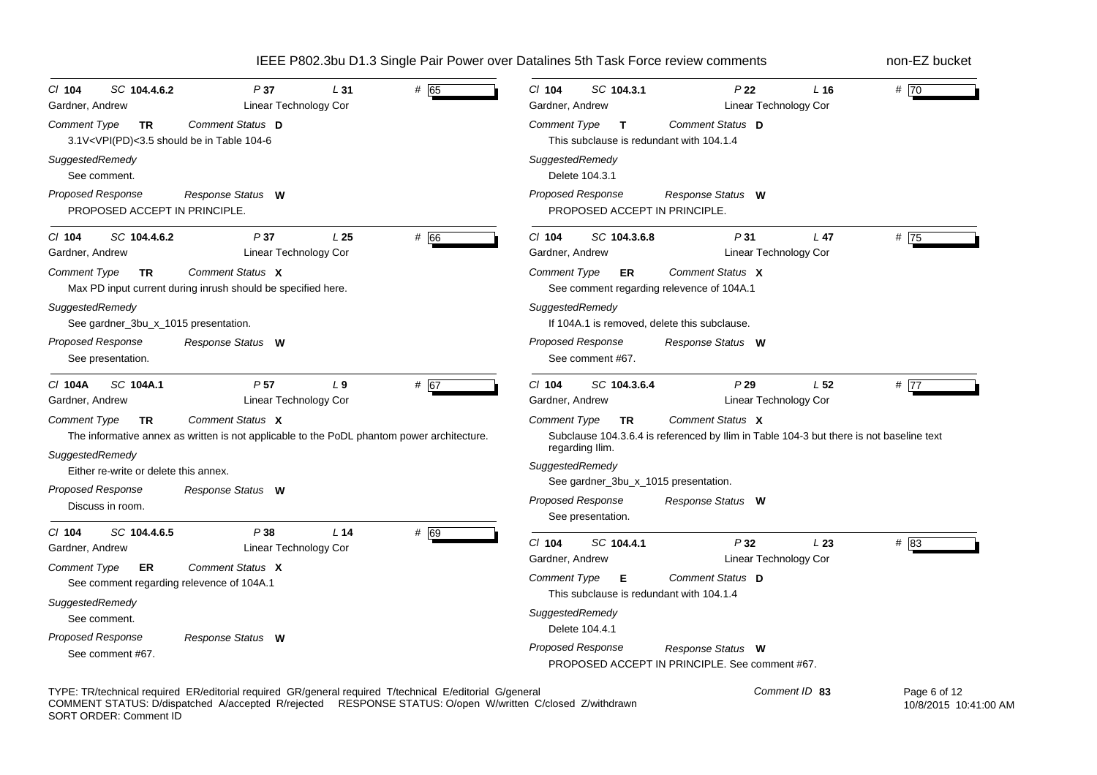| P37                                                                                                                                                | $Cl$ 104                                                                                                                                                           |
|----------------------------------------------------------------------------------------------------------------------------------------------------|--------------------------------------------------------------------------------------------------------------------------------------------------------------------|
| # 65                                                                                                                                               | SC 104.3.1                                                                                                                                                         |
| SC 104.4.6.2                                                                                                                                       | P <sub>22</sub>                                                                                                                                                    |
| L31                                                                                                                                                | # $\overline{70}$                                                                                                                                                  |
| C/ 104                                                                                                                                             | L <sub>16</sub>                                                                                                                                                    |
| Linear Technology Cor                                                                                                                              | Linear Technology Cor                                                                                                                                              |
| Gardner, Andrew                                                                                                                                    | Gardner, Andrew                                                                                                                                                    |
| Comment Status D                                                                                                                                   | <b>Comment Type</b>                                                                                                                                                |
| Comment Type                                                                                                                                       | Comment Status D                                                                                                                                                   |
| <b>TR</b>                                                                                                                                          | $\mathsf{T}$                                                                                                                                                       |
| 3.1V <vpi(pd)<3.5 104-6<="" be="" in="" should="" table="" td=""><td>This subclause is redundant with 104.1.4</td></vpi(pd)<3.5>                   | This subclause is redundant with 104.1.4                                                                                                                           |
| SuggestedRemedy                                                                                                                                    | SuggestedRemedy                                                                                                                                                    |
| See comment.                                                                                                                                       | Delete 104.3.1                                                                                                                                                     |
| Proposed Response                                                                                                                                  | <b>Proposed Response</b>                                                                                                                                           |
| Response Status W                                                                                                                                  | Response Status W                                                                                                                                                  |
| PROPOSED ACCEPT IN PRINCIPLE.                                                                                                                      | PROPOSED ACCEPT IN PRINCIPLE.                                                                                                                                      |
| # 66                                                                                                                                               | # $75$                                                                                                                                                             |
| SC 104.4.6.2                                                                                                                                       | SC 104.3.6.8                                                                                                                                                       |
| P37                                                                                                                                                | L <sub>47</sub>                                                                                                                                                    |
| L <sub>25</sub>                                                                                                                                    | $CI$ 104                                                                                                                                                           |
| $CI$ 104                                                                                                                                           | P31                                                                                                                                                                |
| Linear Technology Cor                                                                                                                              | Gardner, Andrew                                                                                                                                                    |
| Gardner, Andrew                                                                                                                                    | Linear Technology Cor                                                                                                                                              |
| Comment Status X                                                                                                                                   | Comment Status X                                                                                                                                                   |
| <b>Comment Type</b>                                                                                                                                | <b>Comment Type</b>                                                                                                                                                |
| TR                                                                                                                                                 | ER.                                                                                                                                                                |
| Max PD input current during inrush should be specified here.                                                                                       | See comment regarding relevence of 104A.1                                                                                                                          |
| SuggestedRemedy                                                                                                                                    | SuggestedRemedy                                                                                                                                                    |
| See gardner_3bu_x_1015 presentation.                                                                                                               | If 104A.1 is removed, delete this subclause.                                                                                                                       |
| Proposed Response                                                                                                                                  | Proposed Response                                                                                                                                                  |
| Response Status W                                                                                                                                  | Response Status W                                                                                                                                                  |
| See presentation.                                                                                                                                  | See comment #67.                                                                                                                                                   |
| SC 104A.1                                                                                                                                          | $Cl$ 104                                                                                                                                                           |
| P <sub>57</sub>                                                                                                                                    | SC 104.3.6.4                                                                                                                                                       |
| L <sub>9</sub>                                                                                                                                     | P29                                                                                                                                                                |
| # 67                                                                                                                                               | L <sub>52</sub>                                                                                                                                                    |
| C/ 104A                                                                                                                                            | # $\overline{77}$                                                                                                                                                  |
| Linear Technology Cor                                                                                                                              | Linear Technology Cor                                                                                                                                              |
| Gardner, Andrew                                                                                                                                    | Gardner, Andrew                                                                                                                                                    |
| Comment Status X<br><b>Comment Type</b><br><b>TR</b><br>The informative annex as written is not applicable to the PoDL phantom power architecture. | Comment Status X<br><b>Comment Type</b><br><b>TR</b><br>Subclause 104.3.6.4 is referenced by Ilim in Table 104-3 but there is not baseline text<br>regarding Ilim. |
| SuggestedRemedy<br>Either re-write or delete this annex.                                                                                           | SuggestedRemedy                                                                                                                                                    |
| <b>Proposed Response</b><br>Response Status W<br>Discuss in room.                                                                                  | See gardner_3bu_x_1015 presentation.<br><b>Proposed Response</b><br>Response Status W<br>See presentation.                                                         |
| P38<br>L <sub>14</sub><br># 69<br>$Cl$ 104<br>SC 104.4.6.5<br>Linear Technology Cor<br>Gardner, Andrew                                             | # 83<br>$Cl$ 104<br>SC 104.4.1<br>P32<br>L23                                                                                                                       |
| Comment Status X<br><b>Comment Type</b><br>ER<br>See comment regarding relevence of 104A.1                                                         | Linear Technology Cor<br>Gardner, Andrew<br><b>Comment Type</b><br>Comment Status D<br>Е<br>This subclause is redundant with 104.1.4                               |
| SuggestedRemedy                                                                                                                                    | SuggestedRemedy                                                                                                                                                    |
| See comment.                                                                                                                                       | Delete 104.4.1                                                                                                                                                     |
| <b>Proposed Response</b>                                                                                                                           | Proposed Response                                                                                                                                                  |
| Response Status W                                                                                                                                  | Response Status W                                                                                                                                                  |
| See comment #67.                                                                                                                                   | PROPOSED ACCEPT IN PRINCIPLE, See comment #67.                                                                                                                     |

TYPE: TR/technical required ER/editorial required GR/general required T/technical E/editorial G/general COMMENT STATUS: D/dispatched A/accepted R/rejected RESPONSE STATUS: O/open W/written C/closed Z/withdrawn SORT ORDER: Comment ID  Page 6 of 12 10/8/2015 10:41:00 AM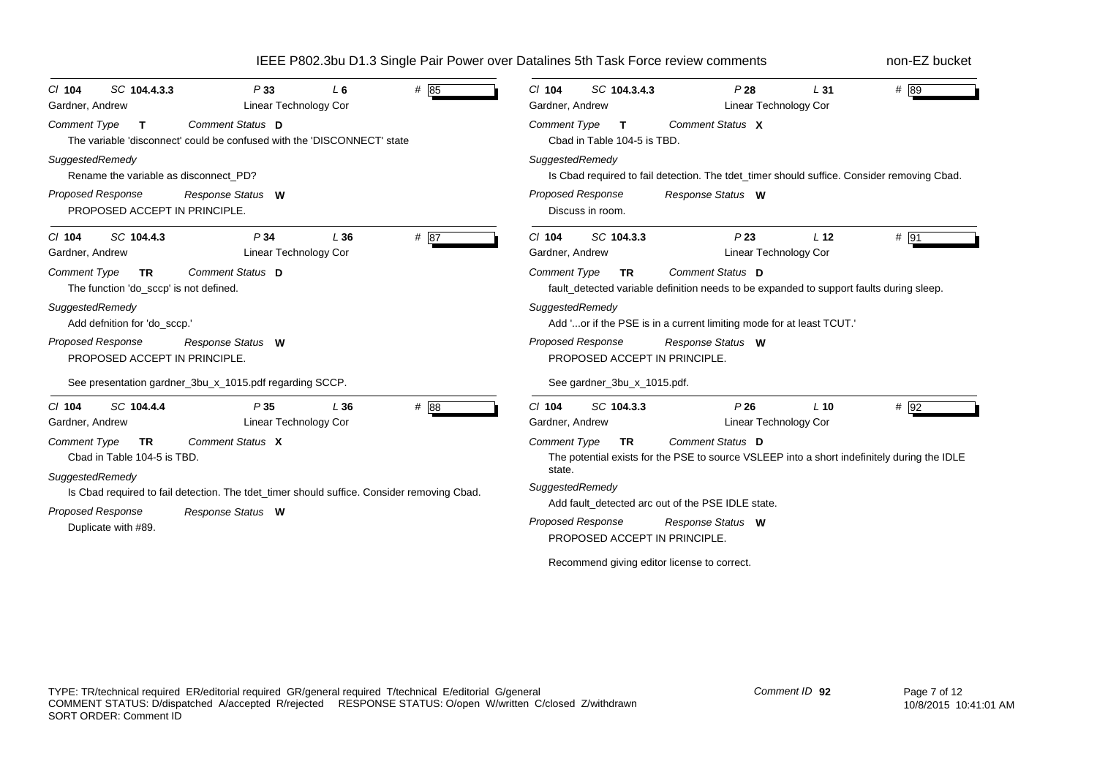| $Cl$ 104<br>Gardner, Andrew | SC 104.4.3.3                                                | P33<br><b>Linear Technology Cor</b>                                                                             | L <sub>6</sub> | # 85   | $Cl$ 104<br>Gardner, Andrew                 | SC 104.3.4.3                                | P28<br><b>Linear Technology Cor</b>                                                                             | L31             | # 89   |
|-----------------------------|-------------------------------------------------------------|-----------------------------------------------------------------------------------------------------------------|----------------|--------|---------------------------------------------|---------------------------------------------|-----------------------------------------------------------------------------------------------------------------|-----------------|--------|
| <b>Comment Type</b>         | $\mathbf{T}$                                                | Comment Status D<br>The variable 'disconnect' could be confused with the 'DISCONNECT' state                     |                |        | <b>Comment Type</b>                         | $\mathbf{T}$<br>Cbad in Table 104-5 is TBD. | Comment Status X                                                                                                |                 |        |
| SuggestedRemedy             | Rename the variable as disconnect PD?                       |                                                                                                                 |                |        | SuggestedRemedy                             |                                             | Is Cbad required to fail detection. The tdet_timer should suffice. Consider removing Cbad.                      |                 |        |
|                             | <b>Proposed Response</b><br>PROPOSED ACCEPT IN PRINCIPLE.   | Response Status W                                                                                               |                |        | Proposed Response                           | Discuss in room.                            | Response Status W                                                                                               |                 |        |
| $Cl$ 104<br>Gardner, Andrew | SC 104.4.3                                                  | P <sub>34</sub><br>Linear Technology Cor                                                                        | L36            | # 87   | $Cl$ 104<br>Gardner, Andrew                 | SC 104.3.3                                  | P <sub>23</sub><br>Linear Technology Cor                                                                        | L <sub>12</sub> | # 91   |
| <b>Comment Type</b>         | <b>TR</b><br>The function 'do_sccp' is not defined.         | Comment Status D                                                                                                |                |        | <b>Comment Type</b>                         | <b>TR</b>                                   | Comment Status D<br>fault_detected variable definition needs to be expanded to support faults during sleep.     |                 |        |
|                             | SuggestedRemedy<br>Add defnition for 'do_sccp.'             |                                                                                                                 |                |        | SuggestedRemedy                             |                                             | Add 'or if the PSE is in a current limiting mode for at least TCUT.'                                            |                 |        |
|                             | <b>Proposed Response</b><br>PROPOSED ACCEPT IN PRINCIPLE.   | Response Status W                                                                                               |                |        | <b>Proposed Response</b>                    | PROPOSED ACCEPT IN PRINCIPLE.               | Response Status W                                                                                               |                 |        |
|                             |                                                             | See presentation gardner_3bu_x_1015.pdf regarding SCCP.                                                         |                |        |                                             | See gardner_3bu_x_1015.pdf.                 |                                                                                                                 |                 |        |
| $Cl$ 104<br>Gardner, Andrew | SC 104.4.4                                                  | P35<br><b>Linear Technology Cor</b>                                                                             | L36            | # $88$ | $Cl$ 104<br>Gardner, Andrew                 | SC 104.3.3                                  | P26<br>Linear Technology Cor                                                                                    | $L$ 10          | $#$ 92 |
| <b>Comment Type</b>         | <b>TR</b><br>Cbad in Table 104-5 is TBD.                    | Comment Status X                                                                                                |                |        | <b>Comment Type</b><br>state.               | <b>TR</b>                                   | Comment Status D<br>The potential exists for the PSE to source VSLEEP into a short indefinitely during the IDLE |                 |        |
|                             | SuggestedRemedy<br>Proposed Response<br>Duplicate with #89. | Is Cbad required to fail detection. The tdet_timer should suffice. Consider removing Cbad.<br>Response Status W |                |        | SuggestedRemedy<br><b>Proposed Response</b> | PROPOSED ACCEPT IN PRINCIPLE.               | Add fault detected arc out of the PSE IDLE state.<br>Response Status W                                          |                 |        |
|                             |                                                             |                                                                                                                 |                |        |                                             |                                             | Recommend giving editor license to correct.                                                                     |                 |        |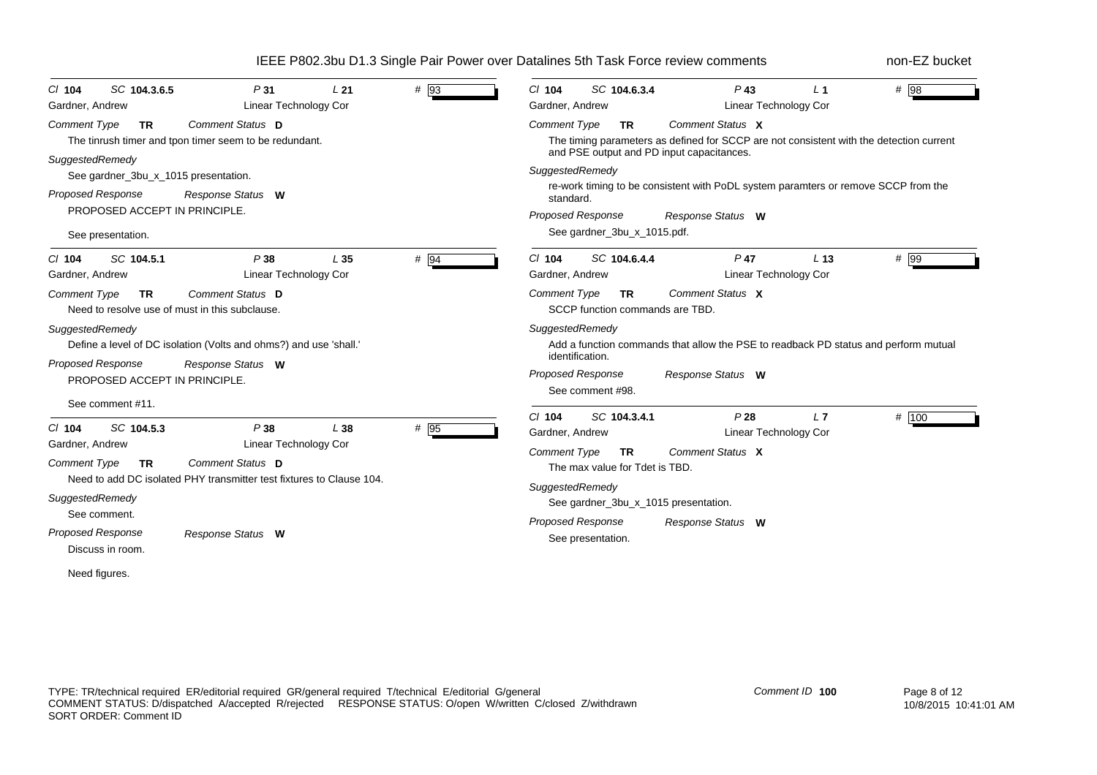| # 93                                                                                                                                                                                                                                                                                                                                              | $P$ 43                                                                                                                                                                                                                                                                                                                                                                                             |
|---------------------------------------------------------------------------------------------------------------------------------------------------------------------------------------------------------------------------------------------------------------------------------------------------------------------------------------------------|----------------------------------------------------------------------------------------------------------------------------------------------------------------------------------------------------------------------------------------------------------------------------------------------------------------------------------------------------------------------------------------------------|
| SC 104.3.6.5                                                                                                                                                                                                                                                                                                                                      | # 98                                                                                                                                                                                                                                                                                                                                                                                               |
| P31                                                                                                                                                                                                                                                                                                                                               | $CI$ 104                                                                                                                                                                                                                                                                                                                                                                                           |
| L21                                                                                                                                                                                                                                                                                                                                               | SC 104.6.3.4                                                                                                                                                                                                                                                                                                                                                                                       |
| $CI$ 104                                                                                                                                                                                                                                                                                                                                          | $L_1$                                                                                                                                                                                                                                                                                                                                                                                              |
| <b>Linear Technology Cor</b>                                                                                                                                                                                                                                                                                                                      | Gardner, Andrew                                                                                                                                                                                                                                                                                                                                                                                    |
| Gardner, Andrew                                                                                                                                                                                                                                                                                                                                   | Linear Technology Cor                                                                                                                                                                                                                                                                                                                                                                              |
| Comment Status D<br><b>Comment Type</b><br><b>TR</b><br>The tinrush timer and tpon timer seem to be redundant.<br>SuggestedRemedy<br>See gardner_3bu_x_1015 presentation.<br>Proposed Response<br>Response Status W<br>PROPOSED ACCEPT IN PRINCIPLE.<br>See presentation.                                                                         | <b>Comment Type</b><br>Comment Status X<br><b>TR</b><br>The timing parameters as defined for SCCP are not consistent with the detection current<br>and PSE output and PD input capacitances.<br>SuggestedRemedy<br>re-work timing to be consistent with PoDL system paramters or remove SCCP from the<br>standard.<br><b>Proposed Response</b><br>Response Status W<br>See gardner_3bu_x_1015.pdf. |
| # 94                                                                                                                                                                                                                                                                                                                                              | $Cl$ 104                                                                                                                                                                                                                                                                                                                                                                                           |
| SC 104.5.1                                                                                                                                                                                                                                                                                                                                        | SC 104.6.4.4                                                                                                                                                                                                                                                                                                                                                                                       |
| P38                                                                                                                                                                                                                                                                                                                                               | $P$ 47                                                                                                                                                                                                                                                                                                                                                                                             |
| L35                                                                                                                                                                                                                                                                                                                                               | # 99                                                                                                                                                                                                                                                                                                                                                                                               |
| $CI$ 104                                                                                                                                                                                                                                                                                                                                          | L <sub>13</sub>                                                                                                                                                                                                                                                                                                                                                                                    |
| Linear Technology Cor                                                                                                                                                                                                                                                                                                                             | Gardner, Andrew                                                                                                                                                                                                                                                                                                                                                                                    |
| Gardner, Andrew                                                                                                                                                                                                                                                                                                                                   | Linear Technology Cor                                                                                                                                                                                                                                                                                                                                                                              |
| Comment Status D                                                                                                                                                                                                                                                                                                                                  | <b>Comment Type</b>                                                                                                                                                                                                                                                                                                                                                                                |
| <b>Comment Type</b>                                                                                                                                                                                                                                                                                                                               | Comment Status X                                                                                                                                                                                                                                                                                                                                                                                   |
| <b>TR</b>                                                                                                                                                                                                                                                                                                                                         | <b>TR</b>                                                                                                                                                                                                                                                                                                                                                                                          |
| Need to resolve use of must in this subclause.                                                                                                                                                                                                                                                                                                    | SCCP function commands are TBD.                                                                                                                                                                                                                                                                                                                                                                    |
| SuggestedRemedy                                                                                                                                                                                                                                                                                                                                   | SuggestedRemedy                                                                                                                                                                                                                                                                                                                                                                                    |
| Define a level of DC isolation (Volts and ohms?) and use 'shall.                                                                                                                                                                                                                                                                                  | Add a function commands that allow the PSE to readback PD status and perform mutual                                                                                                                                                                                                                                                                                                                |
| <b>Proposed Response</b>                                                                                                                                                                                                                                                                                                                          | identification.                                                                                                                                                                                                                                                                                                                                                                                    |
| Response Status W                                                                                                                                                                                                                                                                                                                                 | <b>Proposed Response</b>                                                                                                                                                                                                                                                                                                                                                                           |
| PROPOSED ACCEPT IN PRINCIPLE.                                                                                                                                                                                                                                                                                                                     | Response Status W                                                                                                                                                                                                                                                                                                                                                                                  |
| See comment #11.                                                                                                                                                                                                                                                                                                                                  | See comment #98.                                                                                                                                                                                                                                                                                                                                                                                   |
| SC 104.5.3<br>P38<br>L38<br># 95<br>$Cl$ 104<br>Linear Technology Cor<br>Gardner, Andrew<br><b>Comment Status</b> D<br><b>Comment Type</b><br><b>TR</b><br>Need to add DC isolated PHY transmitter test fixtures to Clause 104.<br>SuggestedRemedy<br>See comment.<br>Proposed Response<br>Response Status W<br>Discuss in room.<br>Need figures. | # 100<br>$Cl$ 104<br>SC 104.3.4.1<br>P28<br>L7<br>Linear Technology Cor<br>Gardner, Andrew<br>Comment Status X<br><b>Comment Type</b><br><b>TR</b><br>The max value for Tdet is TBD.<br>SuggestedRemedy<br>See gardner_3bu_x_1015 presentation.<br><b>Proposed Response</b><br>Response Status W<br>See presentation.                                                                              |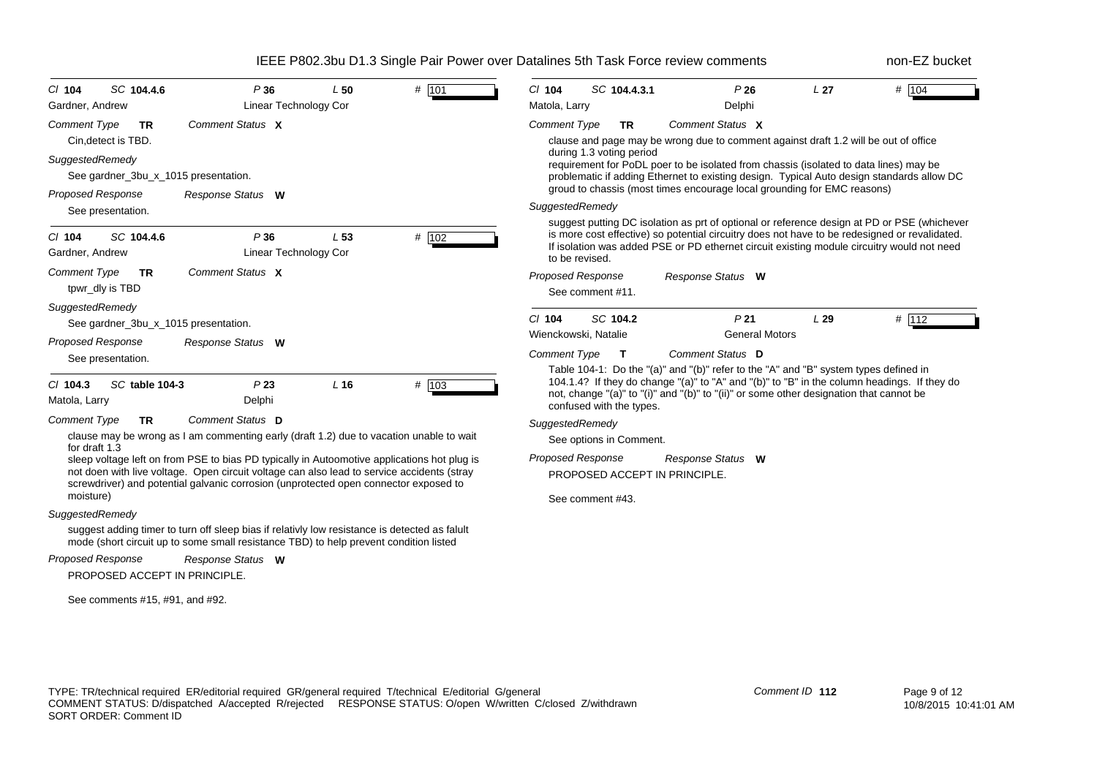| $Cl$ 104                    | SC 104.4.6                           | P36                                                                                                                                                                                                                                                                               | L50             | # 101 | $Cl$ 104                                                                                                                                                                                                                                                                                                     | SC 104.4.3.1             |  | P26                                                                                     | L <sub>27</sub> | # 104 |
|-----------------------------|--------------------------------------|-----------------------------------------------------------------------------------------------------------------------------------------------------------------------------------------------------------------------------------------------------------------------------------|-----------------|-------|--------------------------------------------------------------------------------------------------------------------------------------------------------------------------------------------------------------------------------------------------------------------------------------------------------------|--------------------------|--|-----------------------------------------------------------------------------------------|-----------------|-------|
| Gardner, Andrew             |                                      | Linear Technology Cor                                                                                                                                                                                                                                                             |                 |       | Matola, Larry                                                                                                                                                                                                                                                                                                |                          |  | Delphi                                                                                  |                 |       |
| <b>Comment Type</b>         | <b>TR</b>                            | Comment Status X                                                                                                                                                                                                                                                                  |                 |       | <b>Comment Type</b>                                                                                                                                                                                                                                                                                          | <b>TR</b>                |  | Comment Status X                                                                        |                 |       |
|                             | Cin, detect is TBD.                  |                                                                                                                                                                                                                                                                                   |                 |       |                                                                                                                                                                                                                                                                                                              |                          |  | clause and page may be wrong due to comment against draft 1.2 will be out of office     |                 |       |
| SuggestedRemedy             |                                      |                                                                                                                                                                                                                                                                                   |                 |       |                                                                                                                                                                                                                                                                                                              | during 1.3 voting period |  | requirement for PoDL poer to be isolated from chassis (isolated to data lines) may be   |                 |       |
|                             | See gardner 3bu x 1015 presentation. |                                                                                                                                                                                                                                                                                   |                 |       | problematic if adding Ethernet to existing design. Typical Auto design standards allow DC                                                                                                                                                                                                                    |                          |  |                                                                                         |                 |       |
| <b>Proposed Response</b>    |                                      | Response Status W                                                                                                                                                                                                                                                                 |                 |       |                                                                                                                                                                                                                                                                                                              |                          |  | groud to chassis (most times encourage local grounding for EMC reasons)                 |                 |       |
|                             | See presentation.                    |                                                                                                                                                                                                                                                                                   |                 |       | SuggestedRemedy                                                                                                                                                                                                                                                                                              |                          |  |                                                                                         |                 |       |
| $CI$ 104<br>Gardner, Andrew | SC 104.4.6                           | P36<br>Linear Technology Cor                                                                                                                                                                                                                                                      | L <sub>53</sub> | # 102 | suggest putting DC isolation as prt of optional or reference design at PD or PSE (whichever<br>is more cost effective) so potential circuitry does not have to be redesigned or revalidated.<br>If isolation was added PSE or PD ethernet circuit existing module circuitry would not need<br>to be revised. |                          |  |                                                                                         |                 |       |
| Comment Type                | <b>TR</b>                            | Comment Status X                                                                                                                                                                                                                                                                  |                 |       | <b>Proposed Response</b>                                                                                                                                                                                                                                                                                     |                          |  | Response Status W                                                                       |                 |       |
|                             | tpwr_dly is TBD                      |                                                                                                                                                                                                                                                                                   |                 |       |                                                                                                                                                                                                                                                                                                              | See comment #11.         |  |                                                                                         |                 |       |
| SuggestedRemedy             |                                      |                                                                                                                                                                                                                                                                                   |                 |       | $Cl$ 104                                                                                                                                                                                                                                                                                                     | SC 104.2                 |  | P <sub>21</sub>                                                                         | L29             | # 112 |
|                             | See gardner_3bu_x_1015 presentation. |                                                                                                                                                                                                                                                                                   |                 |       | Wienckowski, Natalie                                                                                                                                                                                                                                                                                         |                          |  | <b>General Motors</b>                                                                   |                 |       |
| <b>Proposed Response</b>    |                                      | Response Status W                                                                                                                                                                                                                                                                 |                 |       | <b>Comment Type</b>                                                                                                                                                                                                                                                                                          | $\mathbf{T}$             |  | Comment Status D                                                                        |                 |       |
|                             | See presentation.                    |                                                                                                                                                                                                                                                                                   |                 |       |                                                                                                                                                                                                                                                                                                              |                          |  |                                                                                         |                 |       |
| $Cl$ 104.3                  | <b>SC</b> table 104-3                | P <sub>23</sub>                                                                                                                                                                                                                                                                   | L16             | # 103 | Table 104-1: Do the "(a)" and "(b)" refer to the "A" and "B" system types defined in<br>104.1.4? If they do change "(a)" to "A" and "(b)" to "B" in the column headings. If they do                                                                                                                          |                          |  |                                                                                         |                 |       |
| Matola, Larry               |                                      | Delphi                                                                                                                                                                                                                                                                            |                 |       |                                                                                                                                                                                                                                                                                                              | confused with the types. |  | not, change "(a)" to "(i)" and "(b)" to "(ii)" or some other designation that cannot be |                 |       |
| Comment Type                | TR.                                  | Comment Status D                                                                                                                                                                                                                                                                  |                 |       | SuggestedRemedy                                                                                                                                                                                                                                                                                              |                          |  |                                                                                         |                 |       |
|                             |                                      | clause may be wrong as I am commenting early (draft 1.2) due to vacation unable to wait                                                                                                                                                                                           |                 |       |                                                                                                                                                                                                                                                                                                              | See options in Comment.  |  |                                                                                         |                 |       |
| for draft 1.3<br>moisture)  |                                      | sleep voltage left on from PSE to bias PD typically in Autoomotive applications hot plug is<br>not doen with live voltage. Open circuit voltage can also lead to service accidents (stray<br>screwdriver) and potential galvanic corrosion (unprotected open connector exposed to |                 |       | <b>Proposed Response</b>                                                                                                                                                                                                                                                                                     | See comment #43.         |  | Response Status W<br>PROPOSED ACCEPT IN PRINCIPLE.                                      |                 |       |
| SuggestedRemedy             |                                      |                                                                                                                                                                                                                                                                                   |                 |       |                                                                                                                                                                                                                                                                                                              |                          |  |                                                                                         |                 |       |
|                             |                                      | suggest adding timer to turn off sleep bias if relativly low resistance is detected as falult<br>mode (short circuit up to some small resistance TBD) to help prevent condition listed                                                                                            |                 |       |                                                                                                                                                                                                                                                                                                              |                          |  |                                                                                         |                 |       |
| <b>Proposed Response</b>    |                                      | Response Status W                                                                                                                                                                                                                                                                 |                 |       |                                                                                                                                                                                                                                                                                                              |                          |  |                                                                                         |                 |       |
|                             | PROPOSED ACCEPT IN PRINCIPLE.        |                                                                                                                                                                                                                                                                                   |                 |       |                                                                                                                                                                                                                                                                                                              |                          |  |                                                                                         |                 |       |
|                             | See comments #15, #91, and #92.      |                                                                                                                                                                                                                                                                                   |                 |       |                                                                                                                                                                                                                                                                                                              |                          |  |                                                                                         |                 |       |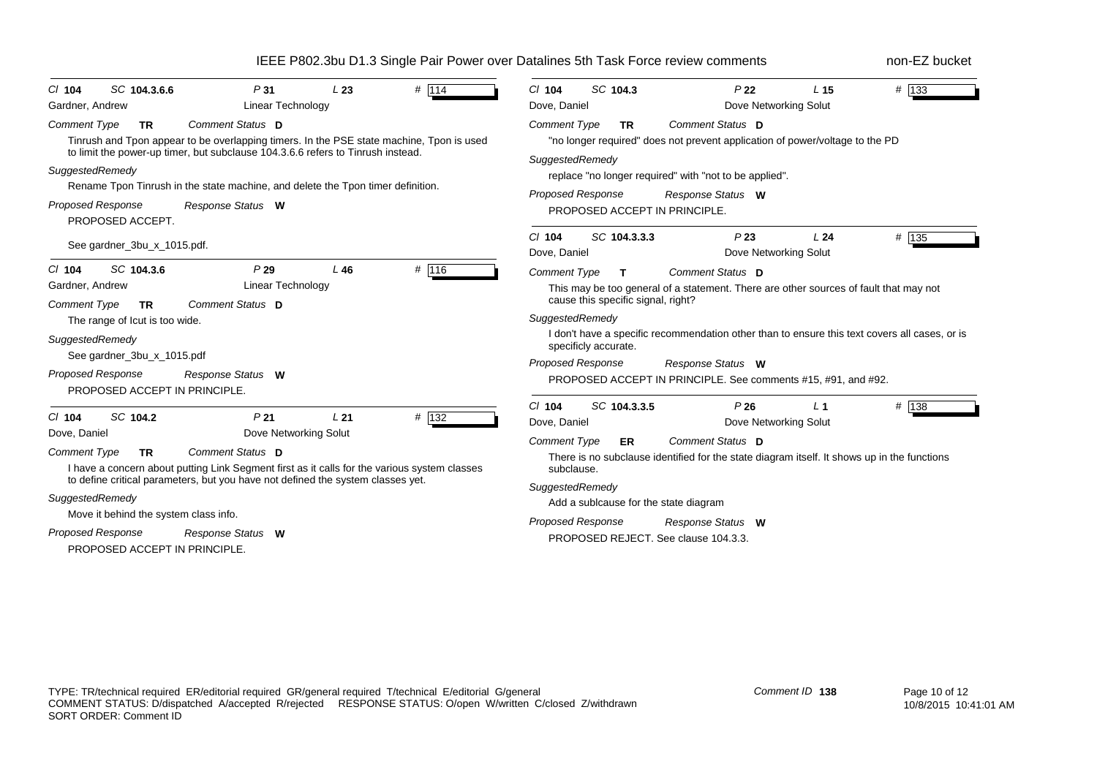| SC 104.3.6.6<br># 114<br>P31<br>L23<br>$CI$ 104<br><b>Linear Technology</b><br>Gardner, Andrew                                                                                                                                                                                                                                                                                                                      | SC 104.3<br>$#$ 133<br>$Cl$ 104<br>P <sub>22</sub><br>L <sub>15</sub><br>Dove, Daniel<br>Dove Networking Solut                                                                                                                                                                                                                                                                 |
|---------------------------------------------------------------------------------------------------------------------------------------------------------------------------------------------------------------------------------------------------------------------------------------------------------------------------------------------------------------------------------------------------------------------|--------------------------------------------------------------------------------------------------------------------------------------------------------------------------------------------------------------------------------------------------------------------------------------------------------------------------------------------------------------------------------|
| Comment Status D<br><b>Comment Type</b><br><b>TR</b><br>Tinrush and Tpon appear to be overlapping timers. In the PSE state machine, Tpon is used<br>to limit the power-up timer, but subclause 104.3.6.6 refers to Tinrush instead.<br>SuggestedRemedy<br>Rename Tpon Tinrush in the state machine, and delete the Tpon timer definition.<br><b>Proposed Response</b><br>Response Status W<br>PROPOSED ACCEPT.      | Comment Status D<br><b>Comment Type</b><br><b>TR</b><br>"no longer required" does not prevent application of power/voltage to the PD<br>SuggestedRemedy<br>replace "no longer required" with "not to be applied".<br><b>Proposed Response</b><br>Response Status W<br>PROPOSED ACCEPT IN PRINCIPLE.                                                                            |
| See gardner_3bu_x_1015.pdf.                                                                                                                                                                                                                                                                                                                                                                                         | $#$ 135<br>$Cl$ 104<br>SC 104.3.3.3<br>P23<br>L24<br>Dove, Daniel<br>Dove Networking Solut                                                                                                                                                                                                                                                                                     |
| # 116<br>SC 104.3.6<br>$CI$ 104<br>P29<br>L46<br>Linear Technology<br>Gardner, Andrew<br>Comment Status D<br><b>Comment Type</b><br><b>TR</b>                                                                                                                                                                                                                                                                       | <b>Comment Type</b><br>Comment Status D<br>$\mathbf{T}$<br>This may be too general of a statement. There are other sources of fault that may not<br>cause this specific signal, right?                                                                                                                                                                                         |
| The range of lout is too wide.<br>SuggestedRemedy<br>See gardner_3bu_x_1015.pdf<br><b>Proposed Response</b><br>Response Status W<br>PROPOSED ACCEPT IN PRINCIPLE.                                                                                                                                                                                                                                                   | SuggestedRemedy<br>I don't have a specific recommendation other than to ensure this text covers all cases, or is<br>specificly accurate.<br><b>Proposed Response</b><br>Response Status W<br>PROPOSED ACCEPT IN PRINCIPLE. See comments #15, #91, and #92.                                                                                                                     |
| SC 104.2<br>P <sub>21</sub><br>L <sub>21</sub><br># 132<br>$Cl$ 104<br>Dove Networking Solut<br>Dove, Daniel<br>Comment Status D<br><b>Comment Type</b><br><b>TR</b><br>I have a concern about putting Link Segment first as it calls for the various system classes<br>to define critical parameters, but you have not defined the system classes yet.<br>SuggestedRemedy<br>Move it behind the system class info. | SC 104.3.3.5<br>$Cl$ 104<br>P26<br># 138<br>L <sub>1</sub><br>Dove, Daniel<br>Dove Networking Solut<br>Comment Status D<br><b>Comment Type</b><br>ER<br>There is no subclause identified for the state diagram itself. It shows up in the functions<br>subclause.<br>SuggestedRemedy<br>Add a sublcause for the state diagram<br><b>Proposed Response</b><br>Response Status W |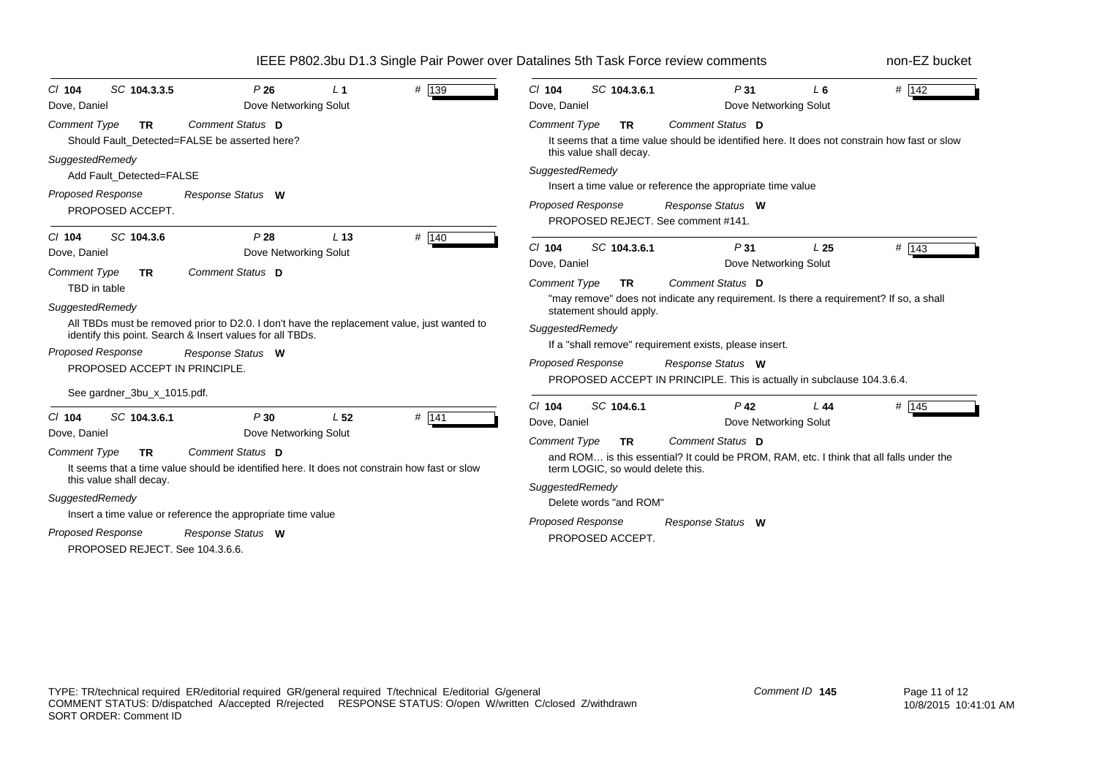| # 139                                                                                                                                                                                                                                                                                                                                                                                                                                                                                          | SC 104.3.6.1                                                                                                                                                                                                                                                                                                                                                                                               |
|------------------------------------------------------------------------------------------------------------------------------------------------------------------------------------------------------------------------------------------------------------------------------------------------------------------------------------------------------------------------------------------------------------------------------------------------------------------------------------------------|------------------------------------------------------------------------------------------------------------------------------------------------------------------------------------------------------------------------------------------------------------------------------------------------------------------------------------------------------------------------------------------------------------|
| SC 104.3.3.5                                                                                                                                                                                                                                                                                                                                                                                                                                                                                   | P <sub>31</sub>                                                                                                                                                                                                                                                                                                                                                                                            |
| P26                                                                                                                                                                                                                                                                                                                                                                                                                                                                                            | # 142                                                                                                                                                                                                                                                                                                                                                                                                      |
| $CI$ 104                                                                                                                                                                                                                                                                                                                                                                                                                                                                                       | $CI$ 104                                                                                                                                                                                                                                                                                                                                                                                                   |
| $L_1$                                                                                                                                                                                                                                                                                                                                                                                                                                                                                          | $L_6$                                                                                                                                                                                                                                                                                                                                                                                                      |
| Dove Networking Solut                                                                                                                                                                                                                                                                                                                                                                                                                                                                          | Dove Networking Solut                                                                                                                                                                                                                                                                                                                                                                                      |
| Dove, Daniel                                                                                                                                                                                                                                                                                                                                                                                                                                                                                   | Dove, Daniel                                                                                                                                                                                                                                                                                                                                                                                               |
| Comment Status D<br><b>Comment Type</b><br><b>TR</b><br>Should Fault Detected=FALSE be asserted here?<br>SuggestedRemedy<br>Add Fault_Detected=FALSE<br><b>Proposed Response</b><br>Response Status W<br>PROPOSED ACCEPT.                                                                                                                                                                                                                                                                      | <b>Comment Status D</b><br><b>Comment Type</b><br><b>TR</b><br>It seems that a time value should be identified here. It does not constrain how fast or slow<br>this value shall decay.<br>SuggestedRemedy<br>Insert a time value or reference the appropriate time value<br>Proposed Response<br>Response Status W<br>PROPOSED REJECT. See comment #141.                                                   |
| SC 104.3.6                                                                                                                                                                                                                                                                                                                                                                                                                                                                                     | $Cl$ 104                                                                                                                                                                                                                                                                                                                                                                                                   |
| P28                                                                                                                                                                                                                                                                                                                                                                                                                                                                                            | SC 104.3.6.1                                                                                                                                                                                                                                                                                                                                                                                               |
| # 140                                                                                                                                                                                                                                                                                                                                                                                                                                                                                          | $#$ 143                                                                                                                                                                                                                                                                                                                                                                                                    |
| $Cl$ 104                                                                                                                                                                                                                                                                                                                                                                                                                                                                                       | P31                                                                                                                                                                                                                                                                                                                                                                                                        |
| L <sub>13</sub>                                                                                                                                                                                                                                                                                                                                                                                                                                                                                | L <sub>25</sub>                                                                                                                                                                                                                                                                                                                                                                                            |
| Dove Networking Solut                                                                                                                                                                                                                                                                                                                                                                                                                                                                          | Dove Networking Solut                                                                                                                                                                                                                                                                                                                                                                                      |
| Dove, Daniel                                                                                                                                                                                                                                                                                                                                                                                                                                                                                   | Dove, Daniel                                                                                                                                                                                                                                                                                                                                                                                               |
| Comment Status D                                                                                                                                                                                                                                                                                                                                                                                                                                                                               | Comment Status D                                                                                                                                                                                                                                                                                                                                                                                           |
| Comment Type                                                                                                                                                                                                                                                                                                                                                                                                                                                                                   | <b>Comment Type</b>                                                                                                                                                                                                                                                                                                                                                                                        |
| <b>TR</b>                                                                                                                                                                                                                                                                                                                                                                                                                                                                                      | <b>TR</b>                                                                                                                                                                                                                                                                                                                                                                                                  |
| TBD in table                                                                                                                                                                                                                                                                                                                                                                                                                                                                                   | "may remove" does not indicate any requirement. Is there a requirement? If so, a shall                                                                                                                                                                                                                                                                                                                     |
| SuggestedRemedy                                                                                                                                                                                                                                                                                                                                                                                                                                                                                | statement should apply.                                                                                                                                                                                                                                                                                                                                                                                    |
| All TBDs must be removed prior to D2.0. I don't have the replacement value, just wanted to                                                                                                                                                                                                                                                                                                                                                                                                     | SuggestedRemedy                                                                                                                                                                                                                                                                                                                                                                                            |
| identify this point. Search & Insert values for all TBDs.                                                                                                                                                                                                                                                                                                                                                                                                                                      | If a "shall remove" requirement exists, please insert.                                                                                                                                                                                                                                                                                                                                                     |
| <b>Proposed Response</b>                                                                                                                                                                                                                                                                                                                                                                                                                                                                       | <b>Proposed Response</b>                                                                                                                                                                                                                                                                                                                                                                                   |
| Response Status W                                                                                                                                                                                                                                                                                                                                                                                                                                                                              | Response Status W                                                                                                                                                                                                                                                                                                                                                                                          |
| PROPOSED ACCEPT IN PRINCIPLE.                                                                                                                                                                                                                                                                                                                                                                                                                                                                  | PROPOSED ACCEPT IN PRINCIPLE. This is actually in subclause 104.3.6.4.                                                                                                                                                                                                                                                                                                                                     |
| See gardner_3bu_x_1015.pdf.<br>$#$ 141<br>SC 104.3.6.1<br>P30<br>L <sub>52</sub><br>$CI$ 104<br>Dove, Daniel<br>Dove Networking Solut<br>Comment Status D<br><b>Comment Type</b><br><b>TR</b><br>It seems that a time value should be identified here. It does not constrain how fast or slow<br>this value shall decay.<br>SuggestedRemedy<br>Insert a time value or reference the appropriate time value<br><b>Proposed Response</b><br>Response Status W<br>PROPOSED REJECT. See 104.3.6.6. | SC 104.6.1<br>$Cl$ 104<br>$P$ 42<br># 145<br>L44<br>Dove Networking Solut<br>Dove, Daniel<br><b>Comment Status D</b><br><b>Comment Type</b><br><b>TR</b><br>and ROM is this essential? It could be PROM, RAM, etc. I think that all falls under the<br>term LOGIC, so would delete this.<br>SuggestedRemedy<br>Delete words "and ROM"<br><b>Proposed Response</b><br>Response Status W<br>PROPOSED ACCEPT. |